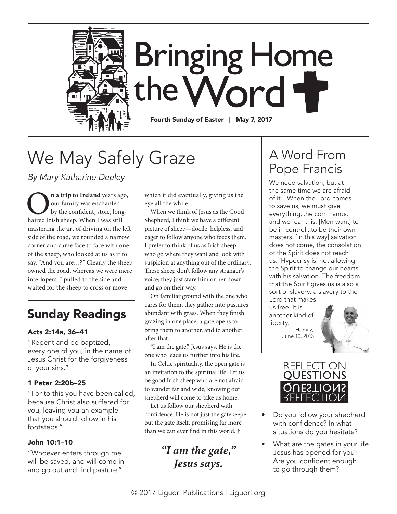

# We May Safely Graze

*By Mary Katharine Deeley* 

**O**n a trip to Ireland years ago,<br>
by the confident, stoic, long-<br>
haired Irish sheep. When I was still our family was enchanted by the confident, stoic, longmastering the art of driving on the left side of the road, we rounded a narrow corner and came face to face with one of the sheep, who looked at us as if to say, "And you are…?" Clearly the sheep owned the road, whereas we were mere interlopers. I pulled to the side and waited for the sheep to cross or move,

### Sunday Readings

#### Acts 2:14a, 36–41

"Repent and be baptized, every one of you, in the name of Jesus Christ for the forgiveness of your sins."

#### 1 Peter 2:20b–25

"For to this you have been called, because Christ also suffered for you, leaving you an example that you should follow in his footsteps."

#### John 10:1–10

"Whoever enters through me will be saved, and will come in and go out and find pasture."

which it did eventually, giving us the eye all the while.

When we think of Jesus as the Good Shepherd, I think we have a different picture of sheep—docile, helpless, and eager to follow anyone who feeds them. I prefer to think of us as Irish sheep who go where they want and look with suspicion at anything out of the ordinary. These sheep don't follow any stranger's voice; they just stare him or her down and go on their way.

On familiar ground with the one who cares for them, they gather into pastures abundant with grass. When they finish grazing in one place, a gate opens to bring them to another, and to another after that.

"I am the gate," Jesus says. He is the one who leads us further into his life.

In Celtic spirituality, the open gate is an invitation to the spiritual life. Let us be good Irish sheep who are not afraid to wander far and wide, knowing our shepherd will come to take us home.

Let us follow our shepherd with confidence. He is not just the gatekeeper but the gate itself, promising far more than we can ever find in this world. †

*"I am the gate," Jesus says.*

## A Word From Pope Francis

We need salvation, but at the same time we are afraid of it....When the Lord comes to save us, we must give everything...he commands; and we fear this. [Men want] to be in control...to be their own masters. [In this way] salvation does not come, the consolation of the Spirit does not reach us. [Hypocrisy is] not allowing the Spirit to change our hearts with his salvation. The freedom that the Spirit gives us is also a sort of slavery, a slavery to the Lord that makes

us free. It is another kind of liberty. —Homily,







- Do you follow your shepherd with confidence? In what situations do you hesitate?
- What are the gates in your life Jesus has opened for you? Are you confident enough to go through them?